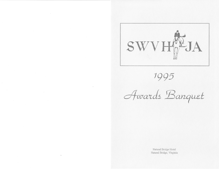

1995

Awards Banquet

Natural Bridge Hotel Natural Bridge, Virginia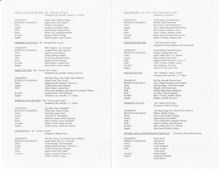### ADULT AMATEUR HUNTER - The "Beauregard Trophy" Donated by Dr. and Mrs. Thomas C. Scordas

| CHAMPION-          | Honor Code, Hollins College   |
|--------------------|-------------------------------|
| RESERVE CHAMPION - | Sugar Creek, Nick Alberti     |
| Third -            | Raintree, Judy Spitzer        |
| Fourth -           | London Fog, Birnam Farm       |
| Fifth -            | Equal Justics, Stephanie Key  |
| Sixth -            | Keelo-Ver, Virginia Borthwick |
| Seventh -          | Snicker, Hollins College      |
| Eighth -           | Tupelo Honey, Linda Chicette  |
|                    |                               |

## CHILDREN'S HUNTER - The "Hunting Hills Trophy"

| CHAMPION-          | Miss Virginia, Ann Alexander |
|--------------------|------------------------------|
| RESERVE CHAMPION - | Another Fling, Mary Grachus  |
| Third -            | High Fly, Aven Hormel        |
| Fourth -           | Devant, Hillary Graham       |
| $F$ ifth -         | On Thin Ice, Briana Gerhart  |
| $sixth -$          | Snicker, Hollins College     |
| $S$ eventh -       | Silent Partner, Andrea Deal  |
| Eighth -           | Rumor Has It, Jenny Jenkins  |
|                    |                              |

## GREEN HUNTER - The "Smooth Style Trophy"

Donated by Mr. and Mrs. Thomas Ginaven

| CHAMPION-          | The Brass Ring, Four Winds Farm of Bristol           |
|--------------------|------------------------------------------------------|
| RESERVE CHAMPION - | Harbor Point, Patti Carroll                          |
| Third -            | Magical Myrth, George P. Moore, Jr.                  |
| Fourth -           | Another Fling, Mary Grachus                          |
| $Fith -$           | Silent Partner, Andrea Deal                          |
|                    | Frost on the Pumpkin, Joan Alberti & Courtney Watson |
| Seventh -          | Tuckerintonite, Erin Duchynski                       |
| Eighth -           | Clockwise, Mr. And Mrs. J. T. Tallon                 |

### INTERMEDIATE HUNTER - The "Foxcrossing Trophy" Donated by Mr. and Mrs. J. T. Tallon

My Alibi, Anna Vandegriff CHAMPION -RESERVE CHAMPION -What Luck, Jessica Young First Fling, Jenny Foley Third-Fourth -Absoluto, Dr. Gail Stanley Fleetcroft Andre, Olivia Schroeder Fifth -Sixth -Space Cowboy, Anna Vandegriff Famley Violet, Lauren Fincher Seventh -Touch of Grey, Elizabeth LaRoche Eighth -

## LOW HUNTER - The "Damast Trophy"

Donated by Birnam Farm

| CHAMPION-          | The Brass Ring, Four Winds Farm of Bristol |
|--------------------|--------------------------------------------|
| RESERVE CHAMPION - | Quill's Mark, Mrs. D. C. Stewart           |
| Third-             | Tuckerintonite, Erin Duchynski             |
| Fourth -           | Magical Myrth, George P. Moore, Jr.        |
| Fifth -            | Another Fling, Mary Grachus                |
| Sixth -            | Sugar Creek, Nick Alberti                  |
| Seventh -          | Snicker, George P. Moore, Jr.              |
|                    | Clifton, Hollins College                   |

### PONY HUNTER - The "Bray's Island Sweet Repose Trophy" Donated by Aaren Ross

Paris Tinsel, Jodi Armstrong

Bit Of Heaven, Rainbow Acres Short 'N Sassy, Heather Gurley

Partner In Crime, Samatha Grist

Tuckerintonite, Erin Duchynski

Quill's Mark, Mrs. D. C. Stewart

Short 'N Sassy, Heather Gurley Galen Raintree, Tara Carr

The "Whitney S. Brown Trophy"

Cat Nip, Seventh Heaven Farm

Double Digit, Stacey Blackburn

Bumble, Mill Creek Farm

My Alibi, Anna Vandegriff Short 'N Sassy, Heather Gurley

Donated by Mr. and Mrs. J. T. Tallon

Moo's Magic Moment, Katie Ginther Juke Box Hero, AYR Show Stable

Magical Myrth, George P. Moore, Jr.

"The Tack Room Trophy"

Shalako, Claudia Brownell

Harbor Point, Patti Carroll

Time Will Tell, Leah Clore

Moc's Magic Moment, Katie Ginther

Buster Jones, Seventh Heaven Farm

Donated by Donna Sweeney and Cindy Quick

Bumble, Mill Creek Farm Mon Amie, Lynsi Montgomery

CHAMPION -RESERVE CHAMPION -Third-Fourth - $Fith -$ Sixth -Seventh -Eighth -

SCHOOLING HUNTER -

CHAMPION -RESERVE CHAMPION -Third-Fourth -Fifth-Sixth -Seventh -Eighth -

SPECIAL HUNTER -

CHAMPION-RESERVE CHAMPION -Third-Fourth -Fifth -Sixth -Seventh -Eighth -

WORKING HUNTER -

CHAMPION -RESERVE CHAMPION -Third-Fourth -Fifth -Sixth -Seventh -Eighth -

Shalako, Claudia Brownell The "Hyde Park Trophy" Donated by Hollins College The Brass Ring, Four Winds Farm of Bristol Clifton, Hollins College Honor Code, Hollins College Sugar Creek, Nick Alberti Twist of Mischief, Cassandra Thomas Sophie's Choice, Ann Alexander Quill's Mark, Mrs. D. C. Stewart

## SWYHJA ADULT EOUITATION ON THE FLAT - Donated by Sweet Briar College

CHAMPION -RESERVE CHAMPION -Third-Fourth -Fifth-Seventh -Eighth -

Cindy Harris Judy Spitzer Chip Surratt Laura Daugherty Emmy Weigel Vickie Byrd Debbie Stuebe Jacqueline Shipplett Cindy Rakow

Palm Beach, Hollins College